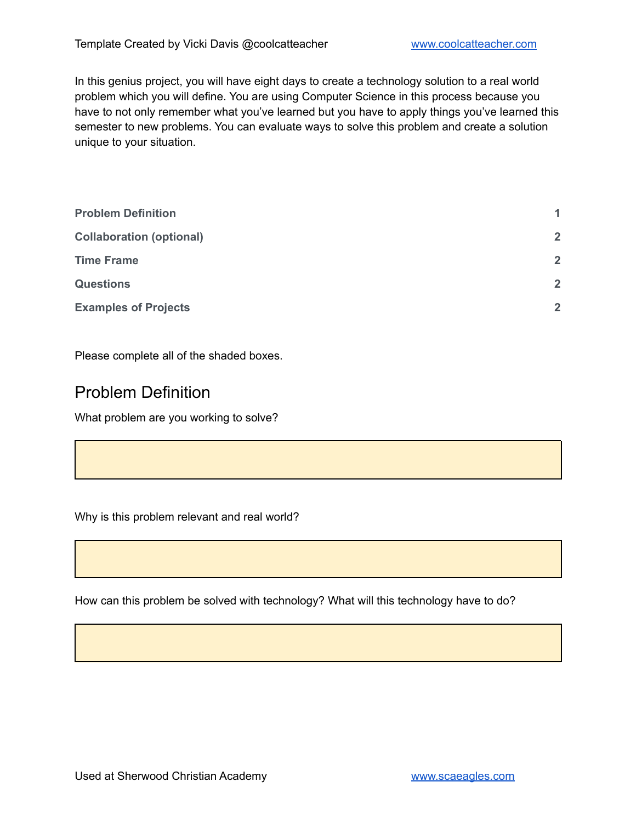In this genius project, you will have eight days to create a technology solution to a real world problem which you will define. You are using Computer Science in this process because you have to not only remember what you've learned but you have to apply things you've learned this semester to new problems. You can evaluate ways to solve this problem and create a solution unique to your situation.

| 1              |
|----------------|
| $\overline{2}$ |
| $\overline{2}$ |
| $\overline{2}$ |
| $\overline{2}$ |
|                |

<span id="page-0-0"></span>Please complete all of the shaded boxes.

#### Problem Definition

What problem are you working to solve?

Why is this problem relevant and real world?

How can this problem be solved with technology? What will this technology have to do?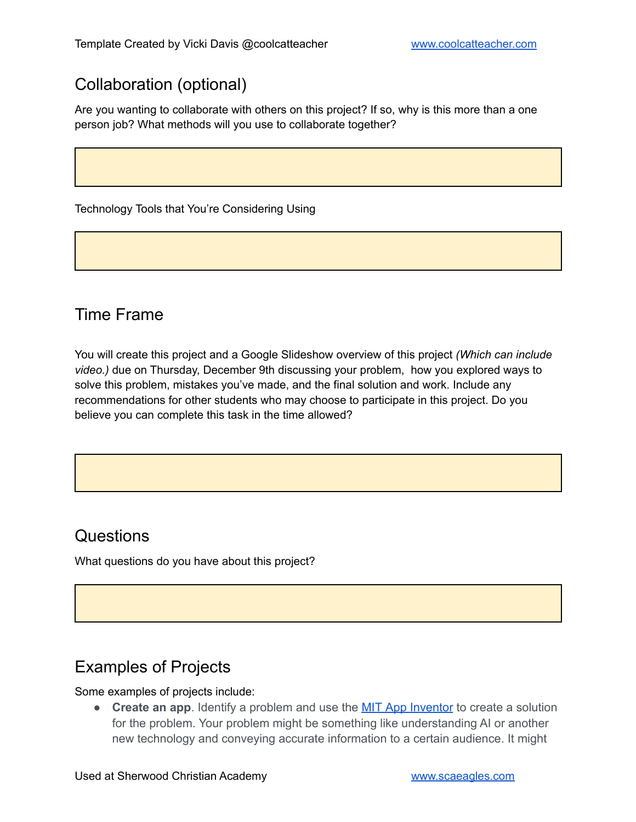# <span id="page-1-0"></span>Collaboration (optional)

Are you wanting to collaborate with others on this project? If so, why is this more than a one person job? What methods will you use to collaborate together?

Technology Tools that You're Considering Using

#### <span id="page-1-1"></span>Time Frame

You will create this project and a Google Slideshow overview of this project *(Which can include video.)* due on Thursday, December 9th discussing your problem, how you explored ways to solve this problem, mistakes you've made, and the final solution and work. Include any recommendations for other students who may choose to participate in this project. Do you believe you can complete this task in the time allowed?

## <span id="page-1-2"></span>**Questions**

What questions do you have about this project?

## <span id="page-1-3"></span>Examples of Projects

#### Some examples of projects include:

● **Create an app**. Identify a problem and use the MIT App [Inventor](https://appinventor.mit.edu/) to create a solution for the problem. Your problem might be something like understanding AI or another new technology and conveying accurate information to a certain audience. It might